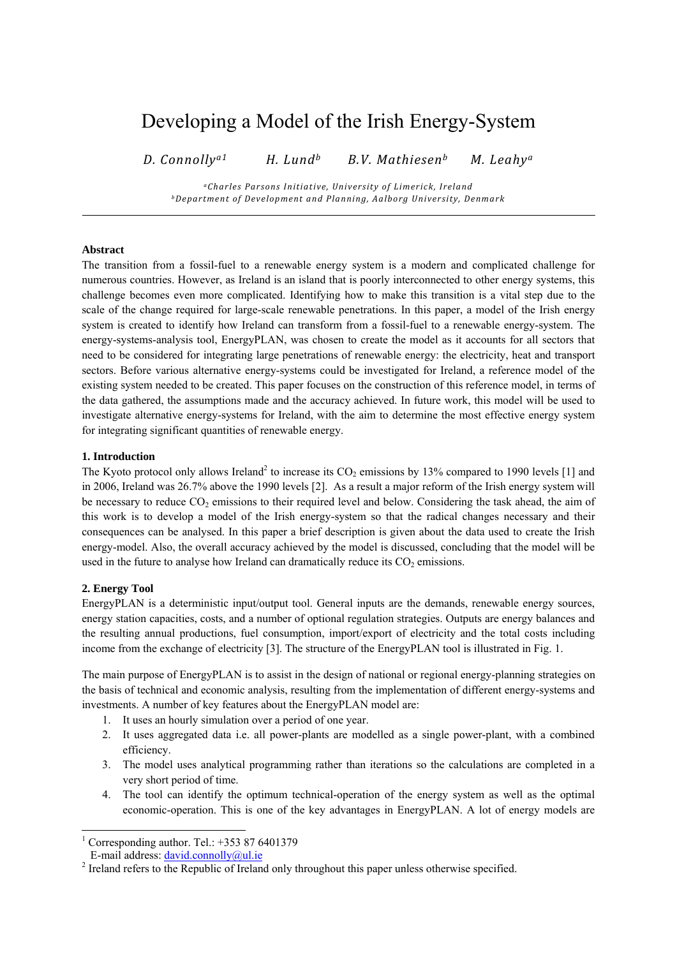# Developing a Model of the Irish Energy-System

*D. Connollya1 H. Lundb B.V. Mathiesenb M. Leahya*

*aCharles Parsons Initiative, University of Limerick, Ireland bDepartment of Development and Planning, Aalborg University, Denmark*

# **Abstract**

The transition from a fossil-fuel to a renewable energy system is a modern and complicated challenge for numerous countries. However, as Ireland is an island that is poorly interconnected to other energy systems, this challenge becomes even more complicated. Identifying how to make this transition is a vital step due to the scale of the change required for large-scale renewable penetrations. In this paper, a model of the Irish energy system is created to identify how Ireland can transform from a fossil-fuel to a renewable energy-system. The energy-systems-analysis tool, EnergyPLAN, was chosen to create the model as it accounts for all sectors that need to be considered for integrating large penetrations of renewable energy: the electricity, heat and transport sectors. Before various alternative energy-systems could be investigated for Ireland, a reference model of the existing system needed to be created. This paper focuses on the construction of this reference model, in terms of the data gathered, the assumptions made and the accuracy achieved. In future work, this model will be used to investigate alternative energy-systems for Ireland, with the aim to determine the most effective energy system for integrating significant quantities of renewable energy.

#### **1. Introduction**

The Kyoto protocol only allows Ireland<sup>2</sup> to increase its  $CO_2$  emissions by 13% compared to 1990 levels [1] and in 2006, Ireland was 26.7% above the 1990 levels [2]. As a result a major reform of the Irish energy system will be necessary to reduce  $CO_2$  emissions to their required level and below. Considering the task ahead, the aim of this work is to develop a model of the Irish energy-system so that the radical changes necessary and their consequences can be analysed. In this paper a brief description is given about the data used to create the Irish energy-model. Also, the overall accuracy achieved by the model is discussed, concluding that the model will be used in the future to analyse how Ireland can dramatically reduce its  $CO<sub>2</sub>$  emissions.

#### **2. Energy Tool**

EnergyPLAN is a deterministic input/output tool. General inputs are the demands, renewable energy sources, energy station capacities, costs, and a number of optional regulation strategies. Outputs are energy balances and the resulting annual productions, fuel consumption, import/export of electricity and the total costs including income from the exchange of electricity [3]. The structure of the EnergyPLAN tool is illustrated in Fig. 1.

The main purpose of EnergyPLAN is to assist in the design of national or regional energy-planning strategies on the basis of technical and economic analysis, resulting from the implementation of different energy-systems and investments. A number of key features about the EnergyPLAN model are:

- 1. It uses an hourly simulation over a period of one year.
- 2. It uses aggregated data i.e. all power-plants are modelled as a single power-plant, with a combined efficiency.
- 3. The model uses analytical programming rather than iterations so the calculations are completed in a very short period of time.
- 4. The tool can identify the optimum technical-operation of the energy system as well as the optimal economic-operation. This is one of the key advantages in EnergyPLAN. A lot of energy models are

 1 Corresponding author. Tel.: +353 87 6401379

E-mail address: david.connolly@ul.ie 2

<sup>&</sup>lt;sup>2</sup> Ireland refers to the Republic of Ireland only throughout this paper unless otherwise specified.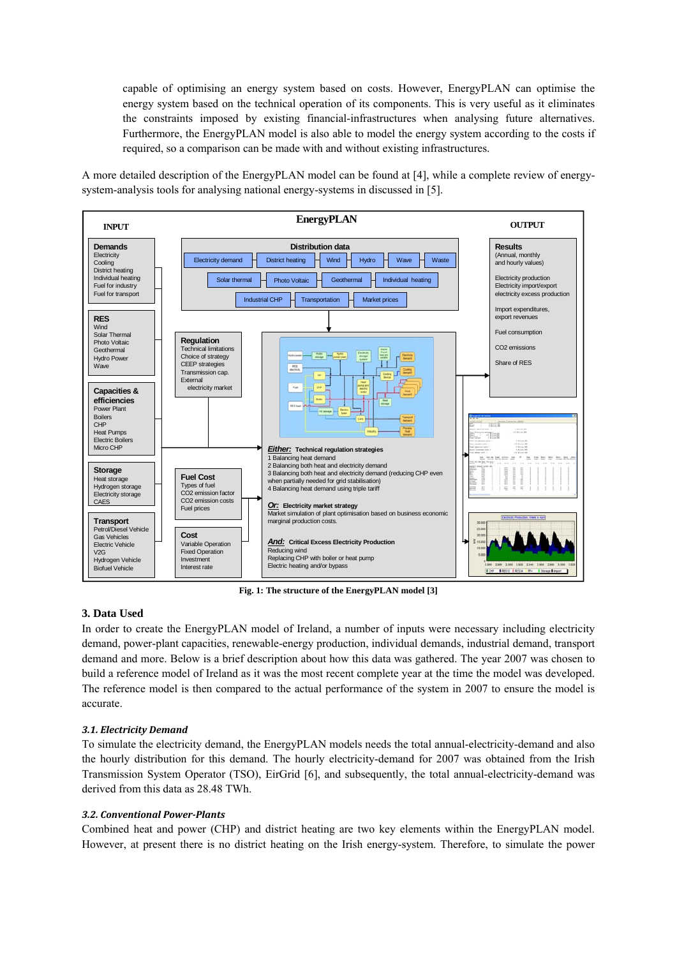capable of optimising an energy system based on costs. However, EnergyPLAN can optimise the energy system based on the technical operation of its components. This is very useful as it eliminates the constraints imposed by existing financial-infrastructures when analysing future alternatives. Furthermore, the EnergyPLAN model is also able to model the energy system according to the costs if required, so a comparison can be made with and without existing infrastructures.

A more detailed description of the EnergyPLAN model can be found at [4], while a complete review of energysystem-analysis tools for analysing national energy-systems in discussed in [5].



**Fig. 1: The structure of the EnergyPLAN model [3]** 

#### **3. Data Used**

In order to create the EnergyPLAN model of Ireland, a number of inputs were necessary including electricity demand, power-plant capacities, renewable-energy production, individual demands, industrial demand, transport demand and more. Below is a brief description about how this data was gathered. The year 2007 was chosen to build a reference model of Ireland as it was the most recent complete year at the time the model was developed. The reference model is then compared to the actual performance of the system in 2007 to ensure the model is accurate.

#### *3.1. Electricity Demand*

To simulate the electricity demand, the EnergyPLAN models needs the total annual-electricity-demand and also the hourly distribution for this demand. The hourly electricity-demand for 2007 was obtained from the Irish Transmission System Operator (TSO), EirGrid [6], and subsequently, the total annual-electricity-demand was derived from this data as 28.48 TWh.

#### *3.2. Conventional PowerPlants*

Combined heat and power (CHP) and district heating are two key elements within the EnergyPLAN model. However, at present there is no district heating on the Irish energy-system. Therefore, to simulate the power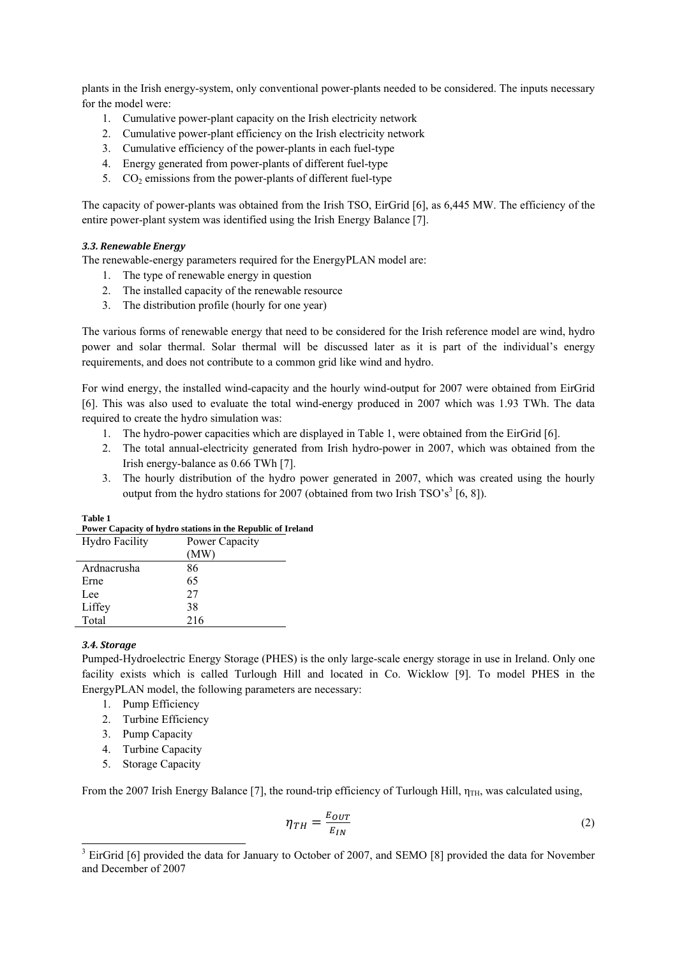plants in the Irish energy-system, only conventional power-plants needed to be considered. The inputs necessary for the model were:

- 1. Cumulative power-plant capacity on the Irish electricity network
- 2. Cumulative power-plant efficiency on the Irish electricity network
- 3. Cumulative efficiency of the power-plants in each fuel-type
- 4. Energy generated from power-plants of different fuel-type
- 5.  $CO<sub>2</sub>$  emissions from the power-plants of different fuel-type

The capacity of power-plants was obtained from the Irish TSO, EirGrid [6], as 6,445 MW. The efficiency of the entire power-plant system was identified using the Irish Energy Balance [7].

# *3.3. Renewable Energy*

The renewable-energy parameters required for the EnergyPLAN model are:

- 1. The type of renewable energy in question
- 2. The installed capacity of the renewable resource
- 3. The distribution profile (hourly for one year)

The various forms of renewable energy that need to be considered for the Irish reference model are wind, hydro power and solar thermal. Solar thermal will be discussed later as it is part of the individual's energy requirements, and does not contribute to a common grid like wind and hydro.

For wind energy, the installed wind-capacity and the hourly wind-output for 2007 were obtained from EirGrid [6]. This was also used to evaluate the total wind-energy produced in 2007 which was 1.93 TWh. The data required to create the hydro simulation was:

- 1. The hydro-power capacities which are displayed in Table 1, were obtained from the EirGrid [6].
- 2. The total annual-electricity generated from Irish hydro-power in 2007, which was obtained from the Irish energy-balance as 0.66 TWh [7].
- 3. The hourly distribution of the hydro power generated in 2007, which was created using the hourly output from the hydro stations for 2007 (obtained from two Irish TSO's<sup>3</sup> [6, 8]).

| Power Capacity of hydro stations in the Republic of Ire |                |  |  |  |
|---------------------------------------------------------|----------------|--|--|--|
| Hydro Facility                                          | Power Capacity |  |  |  |
|                                                         | (MW)           |  |  |  |
| Ardnacrusha                                             | 86             |  |  |  |
| Erne                                                    | 65             |  |  |  |
| Lee                                                     | 27             |  |  |  |
| Liffey                                                  | 38             |  |  |  |
| Total                                                   | 216            |  |  |  |

#### **Table 1 Power Capacity of hydro stations in the Republic of Ireland**

#### *3.4. Storage*

Pumped-Hydroelectric Energy Storage (PHES) is the only large-scale energy storage in use in Ireland. Only one facility exists which is called Turlough Hill and located in Co. Wicklow [9]. To model PHES in the EnergyPLAN model, the following parameters are necessary:

- 1. Pump Efficiency
- 2. Turbine Efficiency
- 3. Pump Capacity
- 4. Turbine Capacity
- 5. Storage Capacity

From the 2007 Irish Energy Balance [7], the round-trip efficiency of Turlough Hill,  $\eta_{TH}$ , was calculated using,

$$
\eta_{TH} = \frac{E_{OUT}}{E_{IN}}\tag{2}
$$

<sup>&</sup>lt;sup>3</sup> EirGrid [6] provided the data for January to October of 2007, and SEMO [8] provided the data for November and December of 2007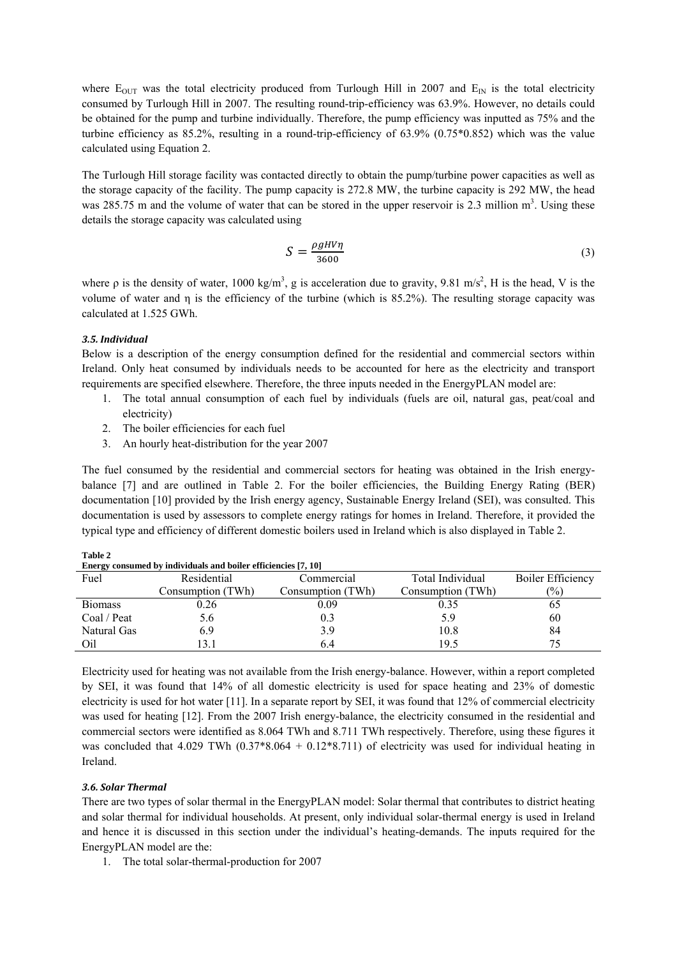where  $E_{\text{OUT}}$  was the total electricity produced from Turlough Hill in 2007 and  $E_{\text{IN}}$  is the total electricity consumed by Turlough Hill in 2007. The resulting round-trip-efficiency was 63.9%. However, no details could be obtained for the pump and turbine individually. Therefore, the pump efficiency was inputted as 75% and the turbine efficiency as 85.2%, resulting in a round-trip-efficiency of 63.9% (0.75\*0.852) which was the value calculated using Equation 2.

The Turlough Hill storage facility was contacted directly to obtain the pump/turbine power capacities as well as the storage capacity of the facility. The pump capacity is 272.8 MW, the turbine capacity is 292 MW, the head was 285.75 m and the volume of water that can be stored in the upper reservoir is 2.3 million  $m<sup>3</sup>$ . Using these details the storage capacity was calculated using

$$
S = \frac{\rho g H V \eta}{3600} \tag{3}
$$

where  $\rho$  is the density of water, 1000 kg/m<sup>3</sup>, g is acceleration due to gravity, 9.81 m/s<sup>2</sup>, H is the head, V is the volume of water and η is the efficiency of the turbine (which is 85.2%). The resulting storage capacity was calculated at 1.525 GWh.

#### *3.5. Individual*

Below is a description of the energy consumption defined for the residential and commercial sectors within Ireland. Only heat consumed by individuals needs to be accounted for here as the electricity and transport requirements are specified elsewhere. Therefore, the three inputs needed in the EnergyPLAN model are:

- 1. The total annual consumption of each fuel by individuals (fuels are oil, natural gas, peat/coal and electricity)
- 2. The boiler efficiencies for each fuel
- 3. An hourly heat-distribution for the year 2007

The fuel consumed by the residential and commercial sectors for heating was obtained in the Irish energybalance [7] and are outlined in Table 2. For the boiler efficiencies, the Building Energy Rating (BER) documentation [10] provided by the Irish energy agency, Sustainable Energy Ireland (SEI), was consulted. This documentation is used by assessors to complete energy ratings for homes in Ireland. Therefore, it provided the typical type and efficiency of different domestic boilers used in Ireland which is also displayed in Table 2.

|                | Energy consumed by individuals and boiler efficiencies [7, 10] |                   |                   |                          |  |
|----------------|----------------------------------------------------------------|-------------------|-------------------|--------------------------|--|
| Fuel           | Residential                                                    | Commercial        | Total Individual  | <b>Boiler Efficiency</b> |  |
|                | Consumption (TWh)                                              | Consumption (TWh) | Consumption (TWh) | $(\%)$                   |  |
| <b>Biomass</b> | 0.26                                                           | 0.09              | 0.35              | 02                       |  |
| Coal / Peat    | 5.6                                                            | 0.3               | 5.9               | 60                       |  |
| Natural Gas    | 6.9                                                            | 3.9               | 10.8              | 84                       |  |
| Oil            | 3.1                                                            | 6.4               | 19.5              |                          |  |

**Table 2 Energy consumed by individuals and boiler efficiencies [7, 10]** 

Electricity used for heating was not available from the Irish energy-balance. However, within a report completed by SEI, it was found that 14% of all domestic electricity is used for space heating and 23% of domestic electricity is used for hot water [11]. In a separate report by SEI, it was found that 12% of commercial electricity was used for heating [12]. From the 2007 Irish energy-balance, the electricity consumed in the residential and commercial sectors were identified as 8.064 TWh and 8.711 TWh respectively. Therefore, using these figures it was concluded that  $4.029$  TWh  $(0.37*8.064 + 0.12*8.711)$  of electricity was used for individual heating in Ireland.

#### *3.6. Solar Thermal*

There are two types of solar thermal in the EnergyPLAN model: Solar thermal that contributes to district heating and solar thermal for individual households. At present, only individual solar-thermal energy is used in Ireland and hence it is discussed in this section under the individual's heating-demands. The inputs required for the EnergyPLAN model are the:

1. The total solar-thermal-production for 2007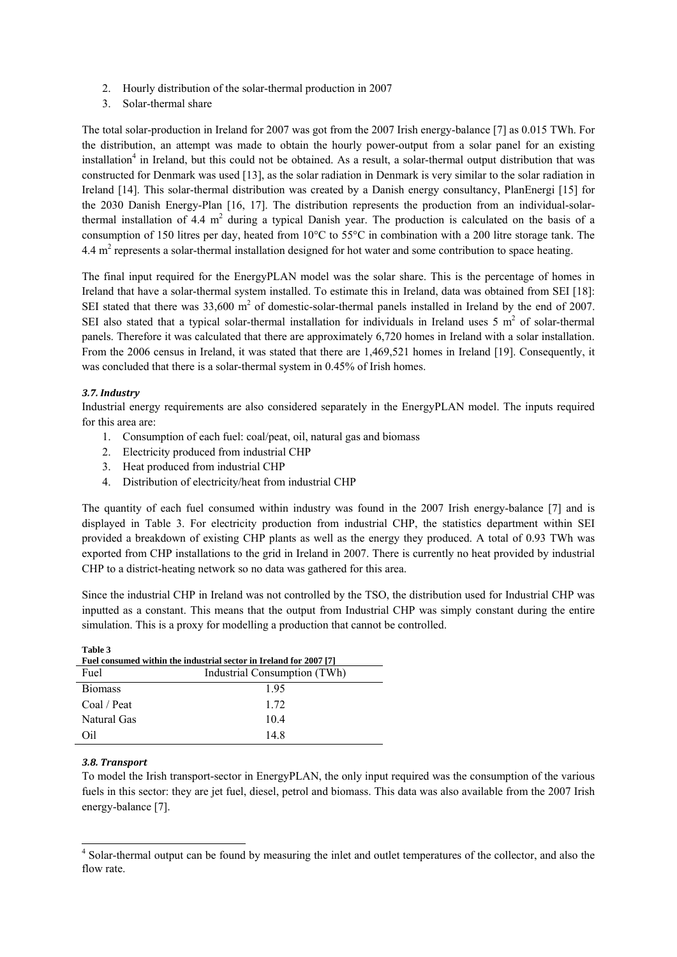- 2. Hourly distribution of the solar-thermal production in 2007
- 3. Solar-thermal share

The total solar-production in Ireland for 2007 was got from the 2007 Irish energy-balance [7] as 0.015 TWh. For the distribution, an attempt was made to obtain the hourly power-output from a solar panel for an existing installation<sup>4</sup> in Ireland, but this could not be obtained. As a result, a solar-thermal output distribution that was constructed for Denmark was used [13], as the solar radiation in Denmark is very similar to the solar radiation in Ireland [14]. This solar-thermal distribution was created by a Danish energy consultancy, PlanEnergi [15] for the 2030 Danish Energy-Plan [16, 17]. The distribution represents the production from an individual-solarthermal installation of 4.4  $m<sup>2</sup>$  during a typical Danish year. The production is calculated on the basis of a consumption of 150 litres per day, heated from 10°C to 55°C in combination with a 200 litre storage tank. The 4.4 m<sup>2</sup> represents a solar-thermal installation designed for hot water and some contribution to space heating.

The final input required for the EnergyPLAN model was the solar share. This is the percentage of homes in Ireland that have a solar-thermal system installed. To estimate this in Ireland, data was obtained from SEI [18]: SEI stated that there was  $33{,}600 \text{ m}^2$  of domestic-solar-thermal panels installed in Ireland by the end of 2007. SEI also stated that a typical solar-thermal installation for individuals in Ireland uses  $5 \text{ m}^2$  of solar-thermal panels. Therefore it was calculated that there are approximately 6,720 homes in Ireland with a solar installation. From the 2006 census in Ireland, it was stated that there are 1,469,521 homes in Ireland [19]. Consequently, it was concluded that there is a solar-thermal system in 0.45% of Irish homes.

# *3.7. Industry*

Industrial energy requirements are also considered separately in the EnergyPLAN model. The inputs required for this area are:

- 1. Consumption of each fuel: coal/peat, oil, natural gas and biomass
- 2. Electricity produced from industrial CHP
- 3. Heat produced from industrial CHP
- 4. Distribution of electricity/heat from industrial CHP

The quantity of each fuel consumed within industry was found in the 2007 Irish energy-balance [7] and is displayed in Table 3. For electricity production from industrial CHP, the statistics department within SEI provided a breakdown of existing CHP plants as well as the energy they produced. A total of 0.93 TWh was exported from CHP installations to the grid in Ireland in 2007. There is currently no heat provided by industrial CHP to a district-heating network so no data was gathered for this area.

Since the industrial CHP in Ireland was not controlled by the TSO, the distribution used for Industrial CHP was inputted as a constant. This means that the output from Industrial CHP was simply constant during the entire simulation. This is a proxy for modelling a production that cannot be controlled.

| Table 3<br>Fuel consumed within the industrial sector in Ireland for 2007 [7] |      |  |  |
|-------------------------------------------------------------------------------|------|--|--|
| Industrial Consumption (TWh)<br>Fuel                                          |      |  |  |
| <b>Biomass</b>                                                                | 195  |  |  |
| Coal / Peat                                                                   | 1.72 |  |  |
| Natural Gas                                                                   | 10.4 |  |  |
| Oil.                                                                          | 14.8 |  |  |

#### *3.8. Transport*

**Table 3** 

To model the Irish transport-sector in EnergyPLAN, the only input required was the consumption of the various fuels in this sector: they are jet fuel, diesel, petrol and biomass. This data was also available from the 2007 Irish energy-balance [7].

<sup>&</sup>lt;sup>4</sup> Solar-thermal output can be found by measuring the inlet and outlet temperatures of the collector, and also the flow rate.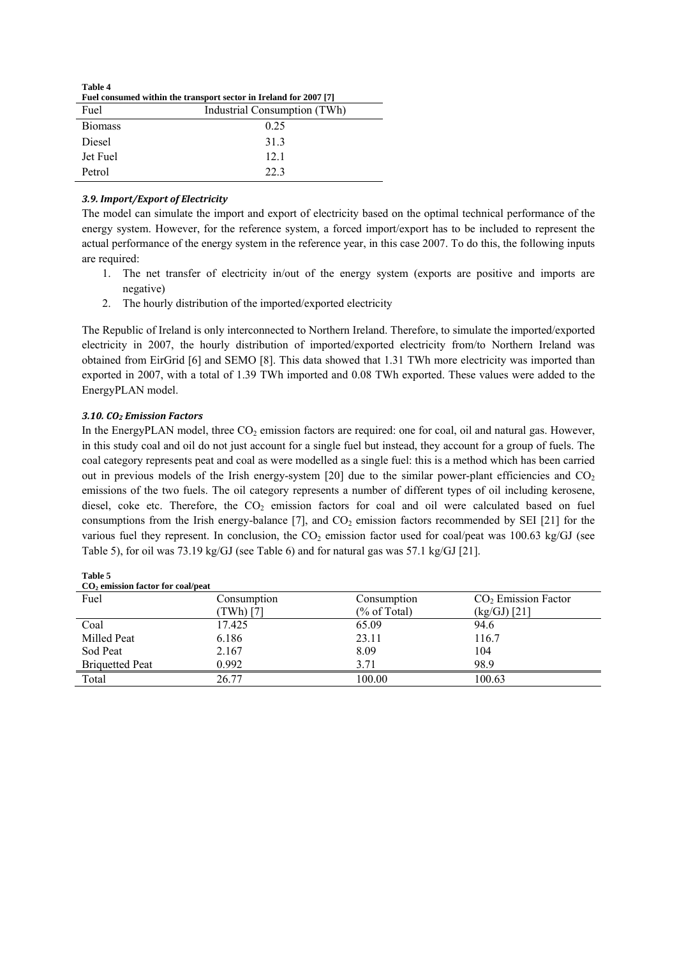| Table 4<br>Fuel consumed within the transport sector in Ireland for 2007 [7] |                              |  |  |  |
|------------------------------------------------------------------------------|------------------------------|--|--|--|
| Fuel                                                                         | Industrial Consumption (TWh) |  |  |  |
| <b>Biomass</b>                                                               | 0.25                         |  |  |  |
| Diesel                                                                       | 313                          |  |  |  |
| Jet Fuel                                                                     | 12.1                         |  |  |  |
| Petrol                                                                       | 223                          |  |  |  |

# *3.9. Import/Export of Electricity*

The model can simulate the import and export of electricity based on the optimal technical performance of the energy system. However, for the reference system, a forced import/export has to be included to represent the actual performance of the energy system in the reference year, in this case 2007. To do this, the following inputs are required:

- 1. The net transfer of electricity in/out of the energy system (exports are positive and imports are negative)
- 2. The hourly distribution of the imported/exported electricity

The Republic of Ireland is only interconnected to Northern Ireland. Therefore, to simulate the imported/exported electricity in 2007, the hourly distribution of imported/exported electricity from/to Northern Ireland was obtained from EirGrid [6] and SEMO [8]. This data showed that 1.31 TWh more electricity was imported than exported in 2007, with a total of 1.39 TWh imported and 0.08 TWh exported. These values were added to the EnergyPLAN model.

#### *3.10. CO2 Emission Factors*

In the EnergyPLAN model, three  $CO<sub>2</sub>$  emission factors are required: one for coal, oil and natural gas. However, in this study coal and oil do not just account for a single fuel but instead, they account for a group of fuels. The coal category represents peat and coal as were modelled as a single fuel: this is a method which has been carried out in previous models of the Irish energy-system [20] due to the similar power-plant efficiencies and  $CO<sub>2</sub>$ emissions of the two fuels. The oil category represents a number of different types of oil including kerosene, diesel, coke etc. Therefore, the  $CO<sub>2</sub>$  emission factors for coal and oil were calculated based on fuel consumptions from the Irish energy-balance  $[7]$ , and  $CO<sub>2</sub>$  emission factors recommended by SEI  $[21]$  for the various fuel they represent. In conclusion, the  $CO<sub>2</sub>$  emission factor used for coal/peat was 100.63 kg/GJ (see Table 5), for oil was 73.19 kg/GJ (see Table 6) and for natural gas was 57.1 kg/GJ [21].

| CO <sub>2</sub> emission factor for coal/peat |             |                         |                       |  |  |
|-----------------------------------------------|-------------|-------------------------|-----------------------|--|--|
| Fuel                                          | Consumption | Consumption             | $CO2$ Emission Factor |  |  |
|                                               | TWh) [7]    | $(\% \text{ of Total})$ | $(kg/GJ)$ [21]        |  |  |
| Coal                                          | 17.425      | 65.09                   | 94.6                  |  |  |
| Milled Peat                                   | 6.186       | 23.11                   | 116.7                 |  |  |
| Sod Peat                                      | 2.167       | 8.09                    | 104                   |  |  |
| <b>Briquetted Peat</b>                        | 0.992       | 3.71                    | 98.9                  |  |  |
| Total                                         | 26.77       | 100.00                  | 100.63                |  |  |

**Table 5**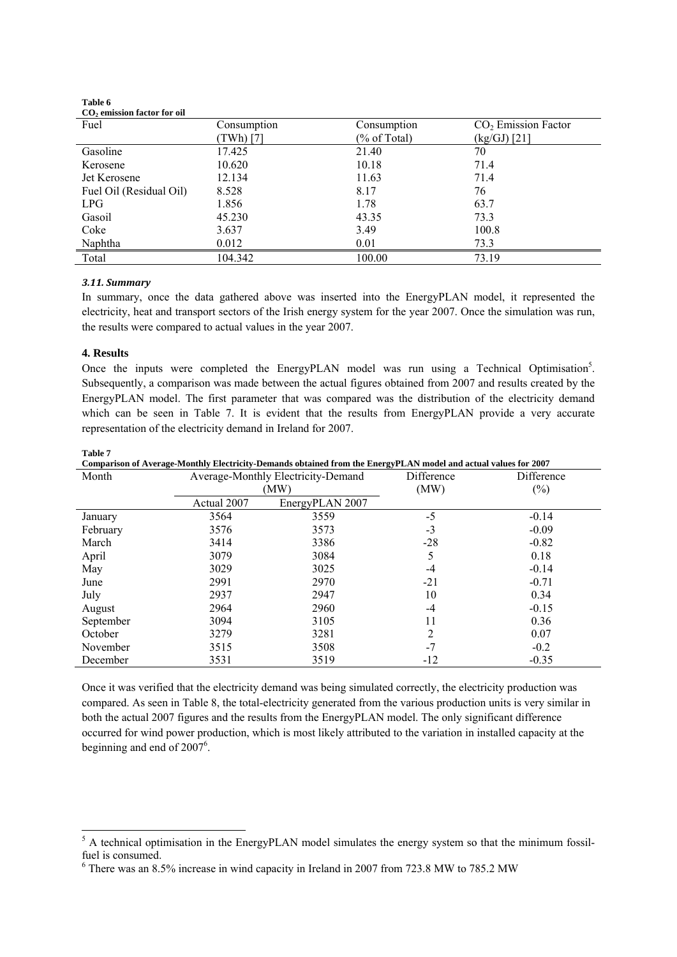| $CO2$ emission factor for oil |             |              |                       |
|-------------------------------|-------------|--------------|-----------------------|
| Fuel                          | Consumption | Consumption  | $CO2$ Emission Factor |
|                               | TWh) [7]    | (% of Total) | (kg/GJ) [21]          |
| Gasoline                      | 17.425      | 21.40        | 70                    |
| Kerosene                      | 10.620      | 10.18        | 71.4                  |
| Jet Kerosene                  | 12.134      | 11.63        | 71.4                  |
| Fuel Oil (Residual Oil)       | 8.528       | 8.17         | 76                    |
| LPG                           | 1.856       | 1.78         | 63.7                  |
| Gasoil                        | 45.230      | 43.35        | 73.3                  |
| Coke                          | 3.637       | 3.49         | 100.8                 |
| Naphtha                       | 0.012       | 0.01         | 73.3                  |
| Total                         | 104.342     | 100.00       | 73.19                 |

# *3.11. Summary*

**Table 6** 

In summary, once the data gathered above was inserted into the EnergyPLAN model, it represented the electricity, heat and transport sectors of the Irish energy system for the year 2007. Once the simulation was run, the results were compared to actual values in the year 2007.

#### **4. Results**

**Table 7** 

Once the inputs were completed the EnergyPLAN model was run using a Technical Optimisation<sup>5</sup>. Subsequently, a comparison was made between the actual figures obtained from 2007 and results created by the EnergyPLAN model. The first parameter that was compared was the distribution of the electricity demand which can be seen in Table 7. It is evident that the results from EnergyPLAN provide a very accurate representation of the electricity demand in Ireland for 2007.

| Comparison of Average-Monthly Electricity-Demands obtained from the EnergyPLAN model and actual values for 2007 |                                            |                 |                    |                      |  |
|-----------------------------------------------------------------------------------------------------------------|--------------------------------------------|-----------------|--------------------|----------------------|--|
| Month                                                                                                           | Average-Monthly Electricity-Demand<br>(MW) |                 | Difference<br>(MW) | Difference<br>$(\%)$ |  |
|                                                                                                                 | Actual 2007                                | EnergyPLAN 2007 |                    |                      |  |
| January                                                                                                         | 3564                                       | 3559            | $-5$               | $-0.14$              |  |
| February                                                                                                        | 3576                                       | 3573            | $-3$               | $-0.09$              |  |
| March                                                                                                           | 3414                                       | 3386            | $-28$              | $-0.82$              |  |
| April                                                                                                           | 3079                                       | 3084            | 5                  | 0.18                 |  |
| May                                                                                                             | 3029                                       | 3025            | -4                 | $-0.14$              |  |
| June                                                                                                            | 2991                                       | 2970            | $-21$              | $-0.71$              |  |
| July                                                                                                            | 2937                                       | 2947            | 10                 | 0.34                 |  |
| August                                                                                                          | 2964                                       | 2960            | -4                 | $-0.15$              |  |
| September                                                                                                       | 3094                                       | 3105            | 11                 | 0.36                 |  |
| October                                                                                                         | 3279                                       | 3281            | $\overline{c}$     | 0.07                 |  |
| November                                                                                                        | 3515                                       | 3508            | $-7$               | $-0.2$               |  |
| December                                                                                                        | 3531                                       | 3519            | $-12$              | $-0.35$              |  |

Once it was verified that the electricity demand was being simulated correctly, the electricity production was compared. As seen in Table 8, the total-electricity generated from the various production units is very similar in both the actual 2007 figures and the results from the EnergyPLAN model. The only significant difference occurred for wind power production, which is most likely attributed to the variation in installed capacity at the beginning and end of  $2007^6$ .

<sup>&</sup>lt;sup>5</sup> A technical optimisation in the EnergyPLAN model simulates the energy system so that the minimum fossilfuel is consumed.

<sup>6</sup> There was an 8.5% increase in wind capacity in Ireland in 2007 from 723.8 MW to 785.2 MW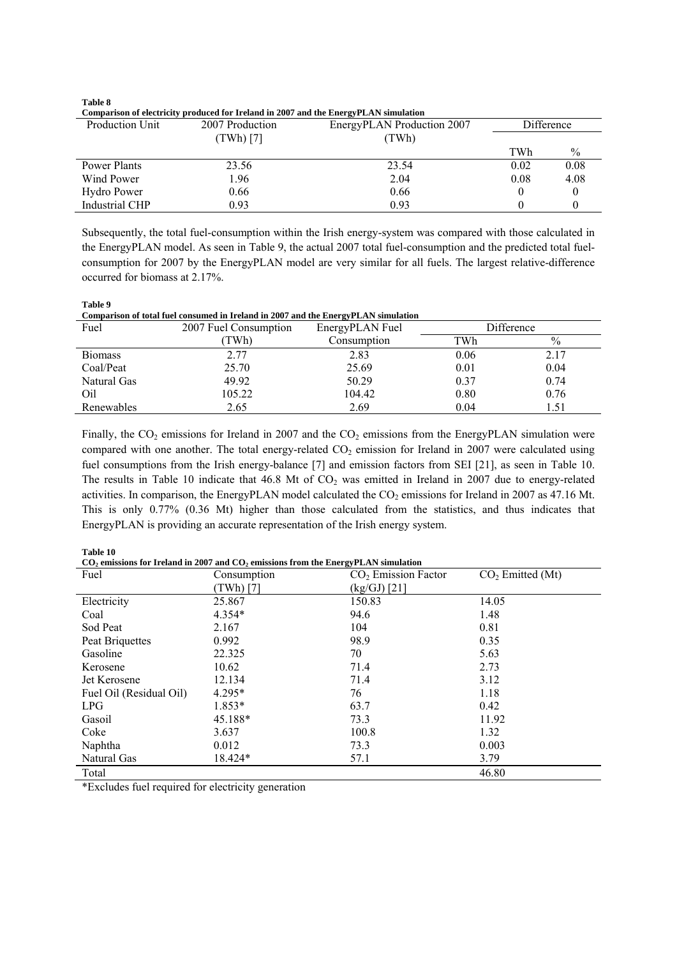**Table 8** 

**Comparison of electricity produced for Ireland in 2007 and the EnergyPLAN simulation** 

|                 | Comparison of titularly produced for it traing in 2007 and the Entrept EATV simulation |                            |            |               |  |  |
|-----------------|----------------------------------------------------------------------------------------|----------------------------|------------|---------------|--|--|
| Production Unit | 2007 Production                                                                        | EnergyPLAN Production 2007 | Difference |               |  |  |
|                 | (TWh) [7]                                                                              | (TWh)                      |            |               |  |  |
|                 |                                                                                        |                            | TWh        | $\frac{0}{0}$ |  |  |
| Power Plants    | 23.56                                                                                  | 23.54                      | 0.02       | 0.08          |  |  |
| Wind Power      | 1.96                                                                                   | 2.04                       | 0.08       | 4.08          |  |  |
| Hydro Power     | 0.66                                                                                   | 0.66                       |            |               |  |  |
| Industrial CHP  | 0.93                                                                                   | 0.93                       |            |               |  |  |

Subsequently, the total fuel-consumption within the Irish energy-system was compared with those calculated in the EnergyPLAN model. As seen in Table 9, the actual 2007 total fuel-consumption and the predicted total fuelconsumption for 2007 by the EnergyPLAN model are very similar for all fuels. The largest relative-difference occurred for biomass at 2.17%.

| Table 9                                                                            |
|------------------------------------------------------------------------------------|
| Comparison of total fuel consumed in Ireland in 2007 and the EnergyPLAN simulation |

| Fuel           | 2007 Fuel Consumption | $-$<br>EnergyPLAN Fuel | Difference |      |
|----------------|-----------------------|------------------------|------------|------|
|                | TWh)                  | Consumption            | TWh        | $\%$ |
| <b>Biomass</b> | 2.77                  | 2.83                   | 0.06       | 2.17 |
| Coal/Peat      | 25.70                 | 25.69                  | 0.01       | 0.04 |
| Natural Gas    | 49.92                 | 50.29                  | 0.37       | 0.74 |
| Oil            | 105.22                | 104.42                 | 0.80       | 0.76 |
| Renewables     | 2.65                  | 2.69                   | 0.04       | 1.51 |

Finally, the  $CO_2$  emissions for Ireland in 2007 and the  $CO_2$  emissions from the EnergyPLAN simulation were compared with one another. The total energy-related  $CO<sub>2</sub>$  emission for Ireland in 2007 were calculated using fuel consumptions from the Irish energy-balance [7] and emission factors from SEI [21], as seen in Table 10. The results in Table 10 indicate that 46.8 Mt of  $CO<sub>2</sub>$  was emitted in Ireland in 2007 due to energy-related activities. In comparison, the EnergyPLAN model calculated the CO<sub>2</sub> emissions for Ireland in 2007 as 47.16 Mt. This is only 0.77% (0.36 Mt) higher than those calculated from the statistics, and thus indicates that EnergyPLAN is providing an accurate representation of the Irish energy system.

#### **Table 10**

CO<sub>2</sub> emissions for Ireland in 2007 and CO<sub>2</sub> emissions from the EnergyPLAN simulation

| Fuel                    | Consumption | $CO2$ Emission Factor | CO <sub>2</sub> Emitted (Mt) |
|-------------------------|-------------|-----------------------|------------------------------|
|                         | (TWh) [7]   | $(kg/GJ)$ [21]        |                              |
| Electricity             | 25.867      | 150.83                | 14.05                        |
| Coal                    | $4.354*$    | 94.6                  | 1.48                         |
| Sod Peat                | 2.167       | 104                   | 0.81                         |
| Peat Briquettes         | 0.992       | 98.9                  | 0.35                         |
| Gasoline                | 22.325      | 70                    | 5.63                         |
| Kerosene                | 10.62       | 71.4                  | 2.73                         |
| Jet Kerosene            | 12.134      | 71.4                  | 3.12                         |
| Fuel Oil (Residual Oil) | $4.295*$    | 76                    | 1.18                         |
| LPG                     | $1.853*$    | 63.7                  | 0.42                         |
| Gasoil                  | 45.188*     | 73.3                  | 11.92                        |
| Coke                    | 3.637       | 100.8                 | 1.32                         |
| Naphtha                 | 0.012       | 73.3                  | 0.003                        |
| Natural Gas             | 18.424*     | 57.1                  | 3.79                         |
| Total                   |             |                       | 46.80                        |

\*Excludes fuel required for electricity generation